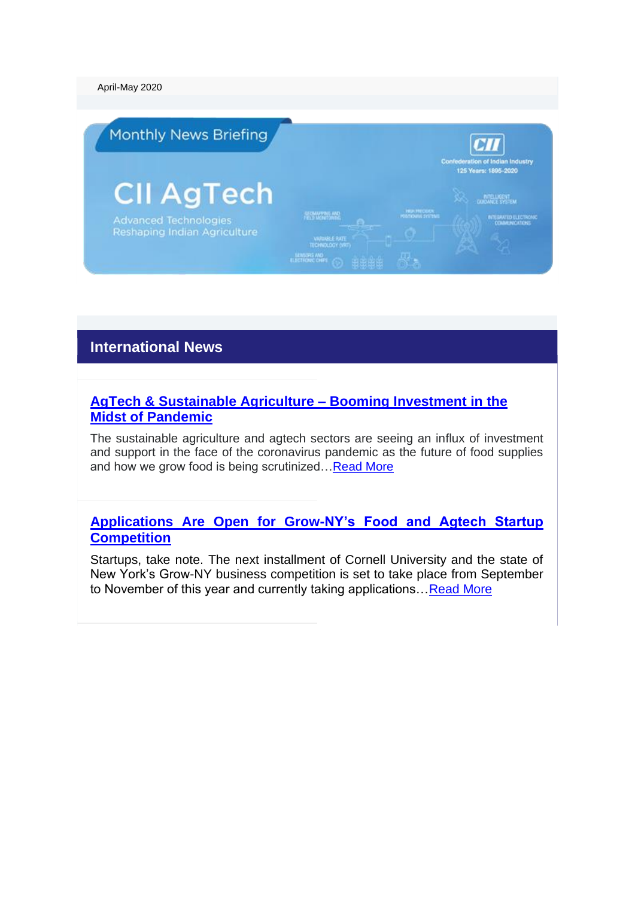April-May 2020



# **International News**

### **[AgTech & Sustainable Agriculture –](https://finance.yahoo.com/news/agtech-sustainable-agriculture-booming-investment-120000832.html) Booming Investment in the [Midst of Pandemic](https://finance.yahoo.com/news/agtech-sustainable-agriculture-booming-investment-120000832.html)**

The sustainable agriculture and agtech sectors are seeing an influx of investment and support in the face of the coronavirus pandemic as the future of food supplies and how we grow food is being scrutinized[…Read More](https://finance.yahoo.com/news/agtech-sustainable-agriculture-booming-investment-120000832.html)

#### **[Applications Are Open for Grow-NY's Food and Agtech Startup](https://thespoon.tech/applications-are-open-for-grow-nys-food-and-agtech-startup-competition/)  [Competition](https://thespoon.tech/applications-are-open-for-grow-nys-food-and-agtech-startup-competition/)**

Startups, take note. The next installment of Cornell University and the state of New York's Grow-NY business competition is set to take place from September to November of this year and currently taking applications... Read More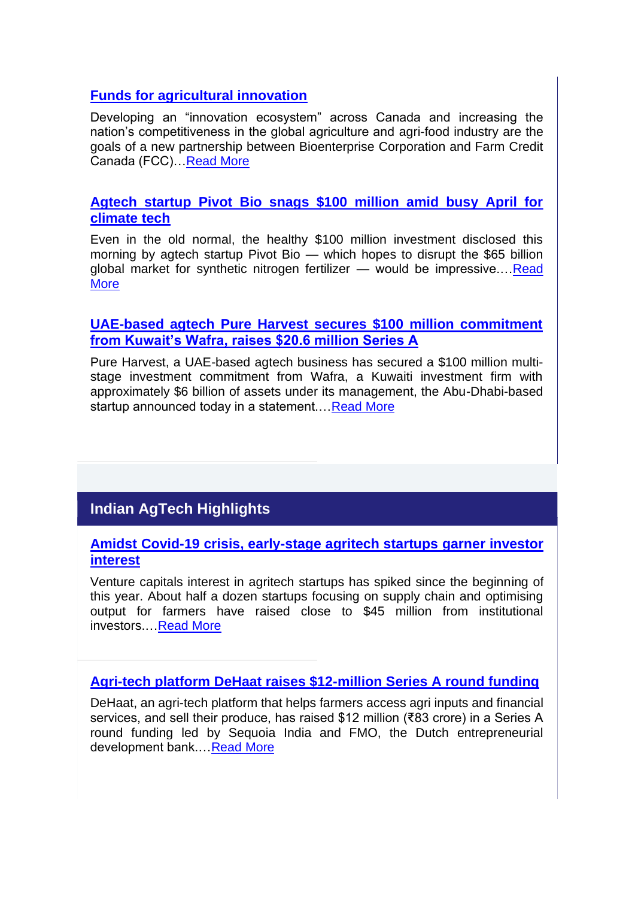## **[Funds for agricultural innovation](https://www.country-guide.ca/guide-business/funds-for-agricultural-innovation/)**

Developing an "innovation ecosystem" across Canada and increasing the nation's competitiveness in the global agriculture and agri-food industry are the goals of a new partnership between Bioenterprise Corporation and Farm Credit Canada (FCC)[…Read More](https://www.country-guide.ca/guide-business/funds-for-agricultural-innovation/)

### **[Agtech startup Pivot Bio snags \\$100 million amid busy April for](https://www.greenbiz.com/article/agtech-startup-pivot-bio-snags-100-million-amid-busy-april-climate-tech)  [climate tech](https://www.greenbiz.com/article/agtech-startup-pivot-bio-snags-100-million-amid-busy-april-climate-tech)**

Even in the old normal, the healthy \$100 million investment disclosed this morning by agtech startup Pivot Bio — which hopes to disrupt the \$65 billion global market for synthetic nitrogen fertilizer — would be impressive.[…Read](https://www.greenbiz.com/article/agtech-startup-pivot-bio-snags-100-million-amid-busy-april-climate-tech)  [More](https://www.greenbiz.com/article/agtech-startup-pivot-bio-snags-100-million-amid-busy-april-climate-tech)

### **[UAE-based agtech Pure Harvest secures \\$100 million commitment](https://www.menabytes.com/pure-harvest-100m/)  [from Kuwait's Wafra, raises \\$20.6 million Series A](https://www.menabytes.com/pure-harvest-100m/)**

Pure Harvest, a UAE-based agtech business has secured a \$100 million multistage investment commitment from Wafra, a Kuwaiti investment firm with approximately \$6 billion of assets under its management, the Abu-Dhabi-based startup announced today in a statement.[…Read More](https://www.menabytes.com/pure-harvest-100m/)

# **Indian AgTech Highlights**

**[Amidst Covid-19 crisis, early-stage agritech startups garner investor](https://entrackr.com/2020/04/early-stage-agritech-startups-garner-investor-interest/)  [interest](https://entrackr.com/2020/04/early-stage-agritech-startups-garner-investor-interest/)**

Venture capitals interest in agritech startups has spiked since the beginning of this year. About half a dozen startups focusing on supply chain and optimising output for farmers have raised close to \$45 million from institutional investors.[…Read More](https://entrackr.com/2020/04/early-stage-agritech-startups-garner-investor-interest/)

**[Agri-tech platform DeHaat raises \\$12-million Series A round funding](https://www.thehindubusinessline.com/economy/agri-business/agri-tech-platform-dehaat-raises-12-million-series-a-round-funding/article31278218.ece)**

DeHaat, an agri-tech platform that helps farmers access agri inputs and financial services, and sell their produce, has raised \$12 million (₹83 crore) in a Series A round funding led by Sequoia India and FMO, the Dutch entrepreneurial development bank.[…Read More](https://www.thehindubusinessline.com/economy/agri-business/agri-tech-platform-dehaat-raises-12-million-series-a-round-funding/article31278218.ece)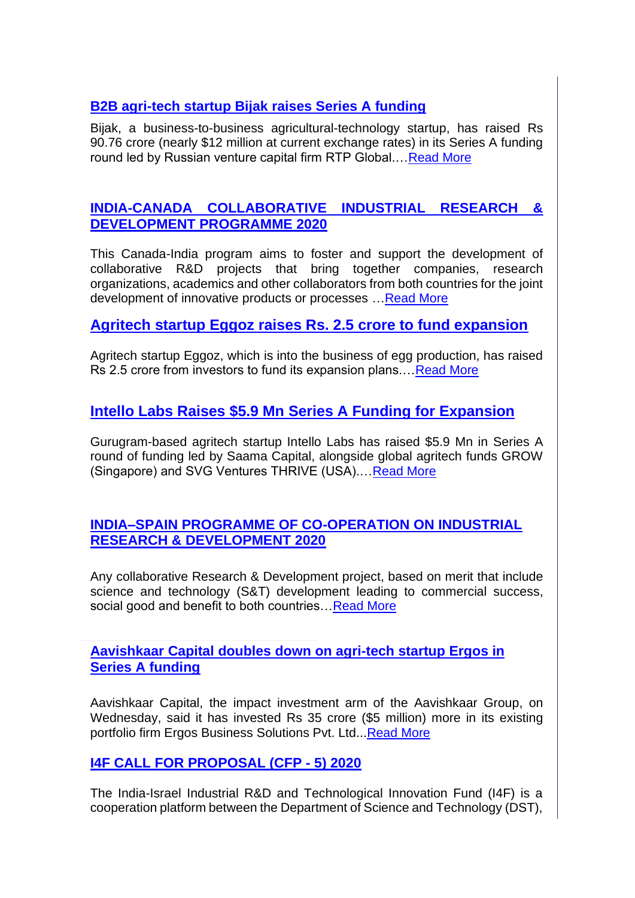# **[B2B agri-tech startup Bijak raises Series A funding](https://www.vccircle.com/b2b-agri-tech-startup-bijak-raises-series-a-funding/)**

Bijak, a business-to-business agricultural-technology startup, has raised Rs 90.76 crore (nearly \$12 million at current exchange rates) in its Series A funding round led by Russian venture capital firm RTP Global.[…Read More](https://www.vccircle.com/b2b-agri-tech-startup-bijak-raises-series-a-funding/)

## **[INDIA-CANADA COLLABORATIVE INDUSTRIAL RESEARCH &](https://gita.org.in/OnlineRfp/ProgramInfo.aspx?GITA=kZdo4yRVS4gRExygXA1Gyt8ta/AT9k9JHmxVmauoOVE=)  [DEVELOPMENT PROGRAMME 2020](https://gita.org.in/OnlineRfp/ProgramInfo.aspx?GITA=kZdo4yRVS4gRExygXA1Gyt8ta/AT9k9JHmxVmauoOVE=)**

This Canada-India program aims to foster and support the development of collaborative R&D projects that bring together companies, research organizations, academics and other collaborators from both countries for the joint development of innovative products or processes […Read More](https://gita.org.in/OnlineRfp/ProgramInfo.aspx?GITA=kZdo4yRVS4gRExygXA1Gyt8ta/AT9k9JHmxVmauoOVE=)

# **[Agritech startup Eggoz raises Rs. 2.5 crore to fund expansion](https://economictimes.indiatimes.com/small-biz/startups/newsbuzz/agritech-startup-eggoz-raises-rs-2-5-crore-to-fund-expansion/articleshow/75798768.cms)**

Agritech startup Eggoz, which is into the business of egg production, has raised Rs 2.5 crore from investors to fund its expansion plans.... Read More

# **[Intello Labs Raises \\$5.9 Mn Series A Funding for Expansion](https://inc42.com/buzz/intello-labs-raises-5-9-mn-series-a-funding-for-expansion/)**

Gurugram-based agritech startup Intello Labs has raised \$5.9 Mn in Series A round of funding led by Saama Capital, alongside global agritech funds GROW (Singapore) and SVG Ventures THRIVE (USA).... Read More

### **[INDIA–SPAIN PROGRAMME OF CO-OPERATION ON INDUSTRIAL](https://gita.org.in/OnlineRfp/ProgramInfo.aspx?GITA=kZdo4yRVS4gRExygXA1GylHlEpPsi9mdhSaiJBOunF4=)  [RESEARCH & DEVELOPMENT 2020](https://gita.org.in/OnlineRfp/ProgramInfo.aspx?GITA=kZdo4yRVS4gRExygXA1GylHlEpPsi9mdhSaiJBOunF4=)**

Any collaborative Research & Development project, based on merit that include science and technology (S&T) development leading to commercial success, social good and benefit to both countries... Read More

**[Aavishkaar Capital doubles down on agri-tech startup Ergos in](https://www.vccircle.com/japan-s-marubeni-backs-wadhwa-group-s-housing-project)  [Series A funding](https://www.vccircle.com/japan-s-marubeni-backs-wadhwa-group-s-housing-project)**

Aavishkaar Capital, the impact investment arm of the Aavishkaar Group, on Wednesday, said it has invested Rs 35 crore (\$5 million) more in its existing portfolio firm Ergos Business Solutions Pvt. Ltd..[.Read More](https://www.vccircle.com/japan-s-marubeni-backs-wadhwa-group-s-housing-project)

# **[I4F CALL FOR PROPOSAL \(CFP -](https://gita.org.in/OnlineRfp/ProgramInfo.aspx?GITA=kZdo4yRVS4gRExygXA1GypHNiAVX0Csytary5D6ldU8=) 5) 2020**

The India-Israel Industrial R&D and Technological Innovation Fund (I4F) is a cooperation platform between the Department of Science and Technology (DST),